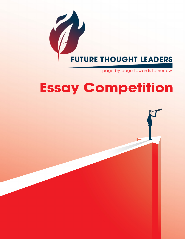

page by page towards tomorrow

# **Essay Competition**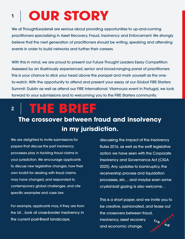## **<sup>1</sup> OUR STORY**

We at ThoughtLeaders4 are serious about providing opportunities to up-and-coming practitioners specialising in Asset Recovery, Fraud, Insolvency and Enforcement. We strongly believe that the next generation of practitioners should be writing, speaking and attending events in order to build networks and further their careers.

With this in mind, we are proud to present our Future Thought Leaders Essay Competition. Assessed by an illustriously experienced, senior and broad-ranging panel of practitioners this is your chance to stick your head above the parapet and mark yourself as the oneto-watch. With the opportunity to attend and present your essay at our Global FIRE Starters Summit: Dublin as well as attend our FIRE International: Vilamoura event in Portugal, we look forward to your submissions and to welcoming you to the FIRE Starters community.

## **<sup>2</sup> THE BRIEF**

## **The crossover between fraud and insolvency in my jurisdiction.**

We are delighted to invite submissions for papers that discuss the part insolvency processes play in tackling fraud claims in your jurisdiction. We encourage applicants to discuss new legislative changes, how their own toolkit for dealing with fraud claims may have changed, and responded to contemporary global challenges, and cite specific examples and case law.

For example, applicants may, if they are from the UK…look at cross-border insolvency in the current post-Brexit landscape,

discussing the impact of the Insolvency Rules 2016, as well as the swift legislative action we have seen with the Corporate Insolvency and Governance Act (CIGA 2020). Any updates to bankruptcy, the receivership process and liquidation processes, etc… and maybe even some crystal-ball gazing is also welcome…

This is a short paper, and we invite you to be creative, opinionated, and tease out the crossovers between fraud, insolvency, asset recovery and economic change. **u d h**  $\frac{r_{r_{\mathbf{q}},\mathbf{u}}e^{\eta c^{\mathbf{u}}}}{\eta c^{\mathbf{q}}}$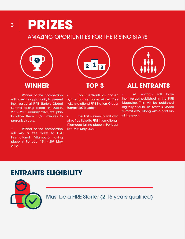## **<sup>3</sup> PRIZES**

### AMAZING OPORTUNITIES FOR THE RISING STARS



• Winner of the competition will have the opportunity to present their essay at FIRE Starters Global Summit taking place in Dublin,  $23<sup>rd</sup>$  –  $25<sup>th</sup>$  February 2022, we plan to allow them 15/20 minutes to present/discuss.

• Winner of the competition will win a free ticket to FIRE International: Vilamoura taking place in Portugal 18th - 20th May 2022.



• Top 3 entrants as chosen by the judging panel will win free tickets to attend FIRE Starters Global Summit 2022: Dublin.

• The first runner-up will also win a free ticket to FIRE International: Vilamoura taking place in Portugal 18<sup>th</sup> - 20<sup>th</sup> May 2022.



### **WINNER TOP 3 ALL ENTRANTS**

All entrants will have their essays published in the FIRE Magazine. This will be published digitally prior to FIRE Starters Global Summit 2022, along with a print run at the event.

## **ENTRANTS ELIGIBILITY**



Must be a FIRE Starter (2-15 years qualified)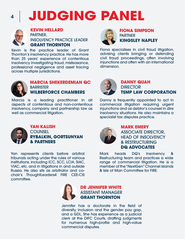# **JUDGING PANEL**



#### **KEVIN HELLARD** PARTNER, INSOLVENCY PRACTICE LEADER **GRANT THORNTON**

Kevin is the practice leader of Grant Thornton's insolvency practice. He has more than 25 years' experience of contentious insolvency investigating fraud, misfeasance, professional negligence and asset tracing across multiple jurisdictions.



**FIONA SIMPSON PARTNER KINGSLEY NAPLEY**

Fiona specialises in civil fraud litigation, advising clients bringing or defending civil fraud proceedings, often involving injunctions and often with an international dimension.



#### **MARCIA SHEKERDEMIAN QC BARRISTER WILBERFORCE CHAMBERS**

Marcia is a leading practitioner in all aspects of contentious and non-contentious insolvency, company and partnership law as well as commercial litigation.



### **YAN KALISH**

**COUNSEL RYBALKIN, GORTSUNYAN & PARTNERS**

Yan represents clients before arbitral tribunals acting under the rules of various institutions, including ICC, SCC, LCIA, SIAC, VIAC, etc. and in litigations in and outside Russia. He also sits as arbitrator and cochair's ThoughtLeaders4 FIRE CEE-CIS committee.



### **DANNY QUAH DIRECTOR TSMP LAW CORPORATION**

Danny is frequently appointed to act in commercial litigation requiring urgent injunctions and as debtor's counsel in dire insolvency situations. He also maintains a specialist tax disputes practice.



### **MARK EMERY**  ASSOCIATE DIRECTOR, HEAD OF INSOLVENCY & RESTRUCTURING **DQ ADVOCATES**

Mark heads DQ's Insolvency & Restructuring team and practices a wide range of commercial litigation. He is a member of the "NextGen" Channel Islands & Isle of Man Committee for FIRE.



### **DR JENNIFER WHITE**  ASSISTANT MANAGER **GRANT THORNTON**

Jennifer has a doctorate in the field of diversity, inclusion and the gender pay gap, and a GDL. She has experience as a judicial clerk at the DIFC Courts, drafting judgments for numerous high-profile and high-value commercial disputes.

**4**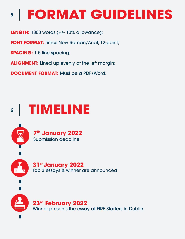## **5 FORMAT GUIDELINES**

**LENGTH:** 1800 words (+/- 10% allowance);

**FONT FORMAT:** Times New Roman/Arial, 12-point;

**SPACING:** 1.5 line spacing;

**ALIGNMENT:** Lined up evenly at the left margin;

**DOCUMENT FORMAT:** Must be a PDF/Word.

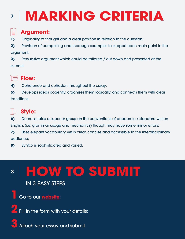# **<sup>7</sup> MARKING CRITERIA**



## **Argument:**

**1)** Originality of thought and a clear position in relation to the question;

**2)** Provision of compelling and thorough examples to support each main point in the argument;

**3)** Persuasive argument which could be tailored / cut down and presented at the summit.



### **Flow:**

**4)** Coherence and cohesion throughout the essay;

**5)** Develops ideas cogently, organises them logically, and connects them with clear transitions.

## **E** Style:

**6)** Demonstrates a superior grasp on the conventions of academic / standard written English, (i.e. grammar usage and mechanics) though may have some minor errors;

**7)** Uses elegant vocabulary yet is clear, concise and accessible to the interdisciplinary audience;

**8)** Syntax is sophisticated and varied.